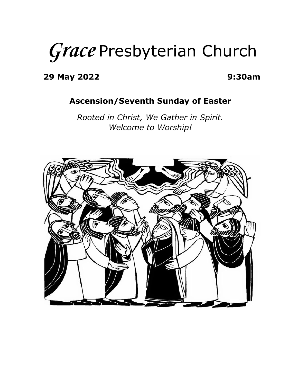# *Grace* Presbyterian Church

**29 May 2022 9:30am**

#### **Ascension/Seventh Sunday of Easter**

*Rooted in Christ, We Gather in Spirit. Welcome to Worship!*

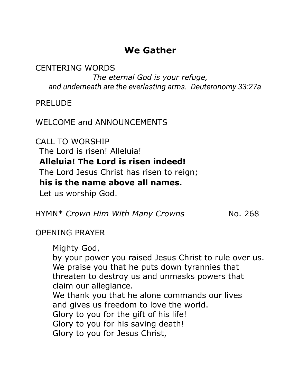## **We Gather**

CENTERING WORDS

*The eternal God is your refuge, and underneath are the everlasting arms. Deuteronomy 33:27a*

PRELUDE

WELCOME and ANNOUNCEMENTS

CALL TO WORSHIP The Lord is risen! Alleluia! **Alleluia! The Lord is risen indeed!** The Lord Jesus Christ has risen to reign; **his is the name above all names.** Let us worship God.

HYMN\* *Crown Him With Many Crowns* No. 268

## OPENING PRAYER

Mighty God, by your power you raised Jesus Christ to rule over us. We praise you that he puts down tyrannies that threaten to destroy us and unmasks powers that claim our allegiance. We thank you that he alone commands our lives and gives us freedom to love the world. Glory to you for the gift of his life! Glory to you for his saving death! Glory to you for Jesus Christ,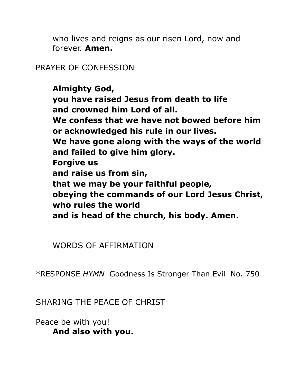who lives and reigns as our risen Lord, now and forever. **Amen.**

## PRAYER OF CONFESSION

**Almighty God, you have raised Jesus from death to life and crowned him Lord of all. We confess that we have not bowed before him or acknowledged his rule in our lives. We have gone along with the ways of the world and failed to give him glory. Forgive us and raise us from sin, that we may be your faithful people, obeying the commands of our Lord Jesus Christ, who rules the world and is head of the church, his body. Amen.**

WORDS OF AFFIRMATION

\*RESPONSE *HYMN* Goodness Is Stronger Than Evil No. 750

SHARING THE PEACE OF CHRIST

Peace be with you! **And also with you.**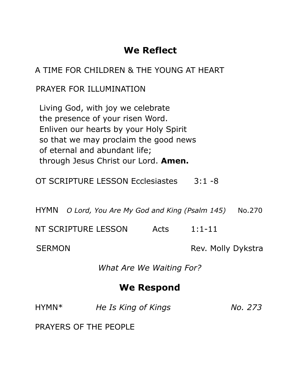# **We Reflect**

## A TIME FOR CHILDREN & THE YOUNG AT HEART

## PRAYER FOR ILLUMINATION

Living God, with joy we celebrate the presence of your risen Word. Enliven our hearts by your Holy Spirit so that we may proclaim the good news of eternal and abundant life; through Jesus Christ our Lord. **Amen.**

OT SCRIPTURE LESSON Ecclesiastes 3:1 -8

HYMN *O Lord, You Are My God and King (Psalm 145)* No.270

NT SCRIPTURE LESSON Acts 1:1-11

SERMON Rev. Molly Dykstra

*What Are We Waiting For?*

# **We Respond**

| HYMN <sup>*</sup> | He Is King of Kings | No. 273 |
|-------------------|---------------------|---------|
|                   |                     |         |

PRAYERS OF THE PEOPLE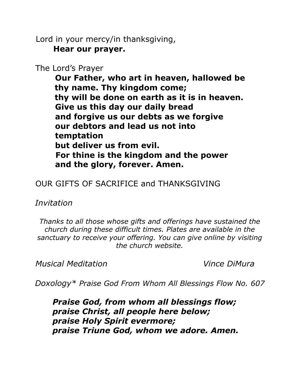Lord in your mercy/in thanksgiving, **Hear our prayer.**

The Lord's Prayer

**Our Father, who art in heaven, hallowed be thy name. Thy kingdom come; thy will be done on earth as it is in heaven. Give us this day our daily bread and forgive us our debts as we forgive our debtors and lead us not into temptation but deliver us from evil. For thine is the kingdom and the power and the glory, forever. Amen.**

#### OUR GIFTS OF SACRIFICE and THANKSGIVING

*Invitation*

*Thanks to all those whose gifts and offerings have sustained the church during these difficult times. Plates are available in the sanctuary to receive your offering. You can give online by visiting the church website.*

*Musical Meditation Vince DiMura*

*Doxology\* Praise God From Whom All Blessings Flow No. 607*

*Praise God, from whom all blessings flow; praise Christ, all people here below; praise Holy Spirit evermore; praise Triune God, whom we adore. Amen.*